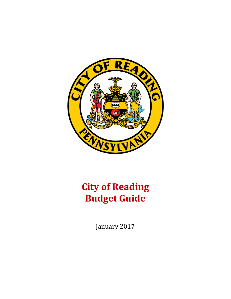

# **City of Reading Budget Guide**

January 2017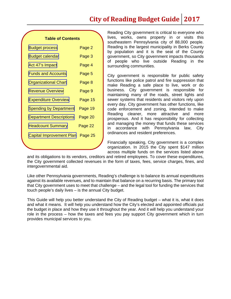## **City of Reading Budget Guide 2017**

#### **Table of Contents**

| <b>Budget process</b>          | Page 2  |
|--------------------------------|---------|
| Budget calendar                | Page 3  |
| Act 47's Impact                | Page 4  |
| <b>Funds and Accounts</b>      | Page 5  |
| <b>Organizational Chart</b>    | Page 8  |
| <b>Revenue Overview</b>        | Page 9  |
| <b>Expenditure Overview</b>    | Page 15 |
| <b>Spending by Department</b>  | Page 19 |
| <b>Department Descriptions</b> | Page 20 |
| <b>Headcount Summary</b>       | Page 22 |
| Capital Improvement Plan       | Page 25 |
|                                |         |

Reading City government is critical to everyone who lives, works, owns property in or visits this southeastern Pennsylvania city of 88,000 people. Reading is the largest municipality in Berks County by population and it is the seat of the County government, so City government impacts thousands of people who live outside Reading in the surrounding communities.

City government is responsible for public safety functions like police patrol and fire suppression that make Reading a safe place to live, work or do business. City government is responsible for maintaining many of the roads, street lights and sewer systems that residents and visitors rely upon every day. City government has other functions, like code enforcement and zoning, intended to make Reading cleaner, more attractive and more prosperous. And it has responsibility for collecting and managing the money that funds these services in accordance with Pennsylvania law, City ordinances and resident preferences.

Financially speaking, City government is a complex organization. In 2015 the City spent \$147 million across multiple funds on the services listed above

and its obligations to its vendors, creditors and retired employees. To cover these expenditures, the City government collected revenues in the form of taxes, fees, service charges, fines, and intergovernmental aid.

Like other Pennsylvania governments, Reading's challenge is to balance its annual expenditures against its available revenues, and to maintain that balance on a recurring basis. The primary tool that City government uses to meet that challenge – and the legal tool for funding the services that touch people's daily lives – is the annual City budget.

This Guide will help you better understand the City of Reading budget – what it is, what it does and what it means. It will help you understand how the City's elected and appointed officials put the budget in place and how they use it throughout the year. And it will help you understand your role in the process – how the taxes and fees you pay support City government which in turn provides municipal services to you.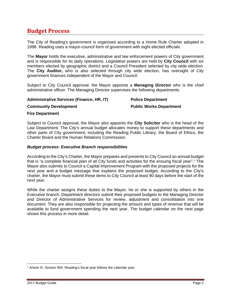## <span id="page-2-0"></span>**Budget Process**

The City of Reading's government is organized according to a Home Rule Charter adopted in 1996. Reading uses a mayor-council form of government with eight elected officials.

The **Mayor** holds the executive, administrative and law enforcement powers of City government and is responsible for its daily operations. Legislative powers are held by **City Council** with six members elected by geographic district and a Council President selected by city wide election. The **City Auditor,** who is also selected through city wide election, has oversight of City government finances independent of the Mayor and Council.

Subject to City Council approval, the Mayor appoints a **Managing Director** who is the chief administrative officer. The Managing Director supervises the following departments:

#### **Administrative Services (Finance, HR, IT)**

### **Police Department**

#### **Community Development**

**Public Works Department**

#### **Fire Department**

Subject to Council approval, the Mayor also appoints the **City Solicitor** who is the head of the Law Department. The City's annual budget allocates money to support these departments and other parts of City government, including the Reading Public Library, the Board of Ethics, the Charter Board and the Human Relations Commission.

#### *Budget process: Executive Branch responsibilities*

According to the City's Charter, the Mayor prepares and presents to City Council an annual budget that is "a complete financial plan of all City funds and activities for the ensuing fiscal year[1.](#page-2-1)" The Mayor also submits to Council a Capital Improvement Program with the proposed projects for the next year and a budget message that explains the proposed budget. According to the City's charter, the Mayor must submit these items to City Council at least 90 days before the start of the next year.

While the charter assigns these duties to the Mayor, he or she is supported by others in the Executive branch. Department directors submit their proposed budgets to the Managing Director and Director of Administrative Services for review, adjustment and consolidation into one document. They are also responsible for projecting the amount and types of revenue that will be available to fund government spending the next year. The budget calendar on the next page shows this process in more detail.

<span id="page-2-1"></span><sup>&</sup>lt;sup>1</sup> Article IV, Section 904. Reading's fiscal year follows the calendar year.  $\overline{\phantom{a}}$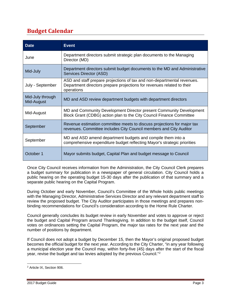## <span id="page-3-0"></span>**Budget Calendar**

| <b>Date</b>                    | <b>Event</b>                                                                                                                                                    |
|--------------------------------|-----------------------------------------------------------------------------------------------------------------------------------------------------------------|
| June                           | Department directors submit strategic plan documents to the Managing<br>Director (MD)                                                                           |
| Mid-July                       | Department directors submit budget documents to the MD and Administrative<br>Services Director (ASD)                                                            |
| July - September               | ASD and staff prepare projections of tax and non-departmental revenues.<br>Department directors prepare projections for revenues related to their<br>operations |
| Mid-July through<br>Mid-August | MD and ASD review department budgets with department directors                                                                                                  |
| Mid-August                     | MD and Community Development Director present Community Development<br>Block Grant (CDBG) action plan to the City Council Finance Committee                     |
| September                      | Revenue estimation committee meets to discuss projections for major tax<br>revenues. Committee includes City Council members and City Auditor                   |
| September                      | MD and ASD amend department budgets and compile them into a<br>comprehensive expenditure budget reflecting Mayor's strategic priorities                         |
| October 1                      | Mayor submits budget, Capital Plan and budget message to Council                                                                                                |

Once City Council receives information from the Administration, the City Council Clerk prepares a budget summary for publication in a newspaper of general circulation. City Council holds a public hearing on the operating budget 15-30 days after the publication of that summary and a separate public hearing on the Capital Program.

During October and early November, Council's Committee of the Whole holds public meetings with the Managing Director, Administrative Services Director and any relevant department staff to review the proposed budget. The City Auditor participates in those meetings and prepares nonbinding recommendations for Council's consideration according to the Home Rule Charter.

Council generally concludes its budget review in early November and votes to approve or reject the budget and Capital Program around Thanksgiving. In addition to the budget itself, Council votes on ordinances setting the Capital Program, the major tax rates for the next year and the number of positions by department.

If Council does not adopt a budget by December 15, then the Mayor's original proposed budget becomes the official budget for the next year. According to the City Charter, "in any year following a municipal election year the Council may, within forty-five (45) days after the start of the fiscal year, revise the budget and tax levies adopted by the previous Council."[2](#page-3-1)

<span id="page-3-1"></span><sup>2</sup> Article IX, Section 906.  $\overline{\phantom{a}}$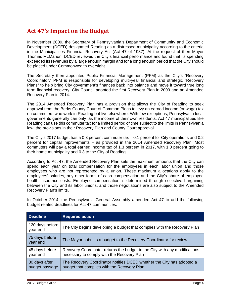## <span id="page-4-0"></span>**Act 47's Impact on the Budget**

In November 2009, the Secretary of Pennsylvania's Department of Community and Economic Development (DCED) designated Reading as a distressed municipality according to the criteria in the Municipalities Financial Recovery Act (Act 47 of 1987). At the request of then Mayor Thomas McMahon, DCED reviewed the City's financial performance and found that its spending exceeded its revenues by a large enough margin and for a long enough period that the City should be placed under Commonwealth oversight.

The Secretary then appointed Public Financial Management (PFM) as the City's "Recovery Coordinator." PFM is responsible for developing multi-year financial and strategic "Recovery Plans" to help bring City government's finances back into balance and move it toward true long term financial recovery. City Council adopted the first Recovery Plan in 2009 and an Amended Recovery Plan in 2014.

The 2014 Amended Recovery Plan has a provision that allows the City of Reading to seek approval from the Berks County Court of Common Pleas to levy an earned income (or wage) tax on commuters who work in Reading but live elsewhere. With few exceptions, Pennsylvania local governments generally can only tax the income of their own residents. Act 47 municipalities like Reading can use this commuter tax for a limited period of time subject to the limits in Pennsylvania law, the provisions in their Recovery Plan and County Court approval.

The City's 2017 budget has a 0.3 percent commuter tax – 0.1 percent for City operations and 0.2 percent for capital improvements – as provided in the 2014 Amended Recovery Plan. Most commuters will pay a total earned income tax of 1.3 percent in 2017, with 1.0 percent going to their home municipality and 0.3 to the City of Reading.

According to Act 47, the Amended Recovery Plan sets the maximum amounts that the City can spend each year on total compensation for the employees in each labor union and those employees who are not represented by a union. These maximum allocations apply to the employees' salaries, any other forms of cash compensation and the City's share of employee health insurance costs. Employee compensation is determined through collective bargaining between the City and its labor unions, and those negotiations are also subject to the Amended Recovery Plan's limits.

In October 2014, the Pennsylvania General Assembly amended Act 47 to add the following budget related deadlines for Act 47 communities.

| <b>Deadline</b>                 | <b>Required action</b>                                                                                                   |
|---------------------------------|--------------------------------------------------------------------------------------------------------------------------|
| 120 days before<br>year end     | The City begins developing a budget that complies with the Recovery Plan                                                 |
| 75 days before<br>year end      | The Mayor submits a budget to the Recovery Coordinator for review                                                        |
| 45 days before<br>year end      | Recovery Coordinator returns the budget to the City with any modifications<br>necessary to comply with the Recovery Plan |
| 30 days after<br>budget passage | The Recovery Coordinator notifies DCED whether the City has adopted a<br>budget that complies with the Recovery Plan     |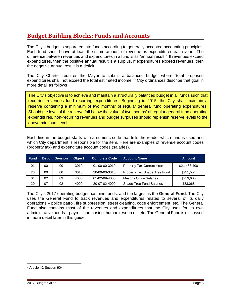## <span id="page-5-0"></span>**Budget Building Blocks: Funds and Accounts**

The City's budget is separated into funds according to generally accepted accounting principles. Each fund should have at least the same amount of revenue as expenditures each year. The difference between revenues and expenditures in a fund is its "annual result." If revenues exceed expenditures, then the positive annual result is a surplus. If expenditures exceed revenues, then the negative annual result is a deficit.

The City Charter requires the Mayor to submit a balanced budget where "total proposed expenditures shall not exceed the total estimated income."[3](#page-5-1) City ordinances describe that goal in more detail as follows

The City's objective is to achieve and maintain a structurally balanced budget in all funds such that recurring revenues fund recurring expenditures. Beginning in 2015, the City shall maintain a reserve containing a minimum of two months' of regular general fund operating expenditures. Should the level of the reserve fall below the value of two months' of regular general fund operating expenditures, non-recurring revenues and budget surpluses should replenish reserve levels to the above minimum level.

Each line in the budget starts with a numeric code that tells the reader which fund is used and which City department is responsible for the item. Here are examples of revenue account codes (property tax) and expenditure account codes (salaries).

| <b>Fund</b> | <b>Dept</b> | <b>Division</b> | <b>Object</b> | <b>Complete Code</b> | 'Account Name                    | <b>Amount</b> |
|-------------|-------------|-----------------|---------------|----------------------|----------------------------------|---------------|
| 01          | 00          | 00              | 3010          | 01-00-00-3010        | <b>Property Tax Current Year</b> | \$21,483,400  |
| 20          | 00          | 00              | 3010          | 20-00-00-3010        | Property Tax Shade Tree Fund     | \$251,554     |
| 01          | 02          | 09              | 4000          | 01-02-09-4000        | Mayor's Office Salaries          | \$213,600     |
| 20          | 07          | 02              | 4000          | 20-07-02-4000        | <b>Shade Tree Fund Salaries</b>  | \$83,068      |

The City's 2017 operating budget has nine funds, and the largest is the **General Fund**. The City uses the General Fund to track revenues and expenditures related to several of its daily operations – police patrol, fire suppression, street cleaning, code enforcement, etc. The General Fund also contains most of the revenues and expenditures that the City uses for its own administrative needs – payroll, purchasing, human resources, etc. The General Fund is discussed in more detail later in this guide.

<span id="page-5-1"></span><sup>3</sup> Article IX, Section 904.  $\overline{\phantom{a}}$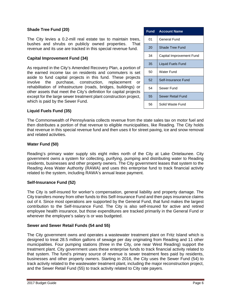#### **Shade Tree Fund (20)**

The City levies a 0.2-mill real estate tax to maintain trees, bushes and shrubs on publicly owned properties. That revenue and its use are tracked in this special revenue fund.

#### **Capital Improvement Fund (34)**

As required in the City's Amended Recovery Plan, a portion of the earned income tax on residents and commuters is set aside to fund capital projects in this fund. These projects involve the purchase, construction, replacement or rehabilitation of infrastructure (roads, bridges, buildings) or other assets that meet the City's definition for capital projects except for the large sewer treatment plant construction project, which is paid by the Sewer Fund.

| Fund | <b>Account Name</b>      |
|------|--------------------------|
| 01   | General Fund             |
| 20   | Shade Tree Fund          |
| 34   | Capital Improvement Fund |
| 35   | Liquid Fuels Fund        |
| 50   | Water Fund               |
| 52   | Self-Insurance Fund      |
| 54   | Sewer Fund               |
| 55   | Sewer Retail Fund        |
| 56   | Solid Waste Fund         |

#### **Liquid Fuels Fund (35)**

The Commonwealth of Pennsylvania collects revenue from the state sales tax on motor fuel and then distributes a portion of that revenue to eligible municipalities, like Reading. The City holds that revenue in this special revenue fund and then uses it for street paving, ice and snow removal and related activities.

#### **Water Fund (50)**

Reading's primary water supply sits eight miles north of the City at Lake Ontelaunee. City government owns a system for collecting, purifying, pumping and distributing water to Reading residents, businesses and other property owners. The City government leases that system to the Reading Area Water Authority (RAWA) and uses this enterprise fund to track financial activity related to the system, including RAWA's annual lease payment.

#### **Self-Insurance Fund (52)**

The City is self-insured for worker's compensation, general liability and property damage. The City transfers money from other funds to this Self-Insurance Fund and then pays insurance claims out of it. Since most operations are supported by the General Fund, that fund makes the largest contribution to the Self-Insurance Fund. The City is also self-insured for active and retired employee health insurance, but those expenditures are tracked primarily in the General Fund or wherever the employee's salary is or was budgeted.

#### **Sewer and Sewer Retail Funds (54 and 55)**

The City government owns and operates a wastewater treatment plant on Fritz Island which is designed to treat 28.5 million gallons of sewage per day originating from Reading and 11 other municipalities. Four pumping stations (three in the City, one near West Reading) support the treatment plant. City government uses these enterprise funds to track financial activity related to that system. The fund's primary source of revenue is sewer treatment fees paid by residents, businesses and other property owners. Starting in 2016, the City uses the Sewer Fund (54) to track activity related to the wastewater treatment plant, including the major reconstruction project, and the Sewer Retail Fund (55) to track activity related to City rate payers.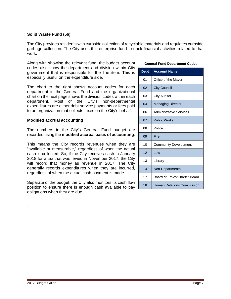#### **Solid Waste Fund (56)**

The City provides residents with curbside collection of recyclable materials and regulates curbside garbage collection. The City uses this enterprise fund to track financial activities related to that work.

Along with showing the relevant fund, the budget account codes also show the department and division within City government that is responsible for the line item. This is especially useful on the expenditure side.

The chart to the right shows account codes for each department in the General Fund and the organizational chart on the next page shows the division codes within each department. Most of the City's non-departmental expenditures are either debt service payments or fees paid to an organization that collects taxes on the City's behalf.

#### **Modified accrual accounting**

The numbers in the City's General Fund budget are recorded using the **modified accrual basis of accounting**.

This means the City records revenues when they are "available or measurable," regardless of when the actual cash is collected. So, if the City receives cash in January 2018 for a tax that was levied in November 2017, the City will record that money as revenue in 2017. The City generally records expenditures when they are incurred, regardless of when the actual cash payment is made.

Separate of the budget, the City also monitors its cash flow position to ensure there is enough cash available to pay obligations when they are due.

#### **General Fund Department Codes**

| <b>Dept</b> | <b>Account Name</b>            |
|-------------|--------------------------------|
| 01          | Office of the Mayor            |
| 02          | <b>City Council</b>            |
| 03          | <b>City Auditor</b>            |
| 04          | <b>Managing Director</b>       |
| 06          | <b>Administrative Services</b> |
| 07          | <b>Public Works</b>            |
| 08          | Police                         |
| 09          | Fire                           |
| 10          | <b>Community Development</b>   |
| 12          | Law                            |
| 13          | Library                        |
| 14          | Non-Departmental               |
| 17          | Board of Ethics/Charter Board  |
| 18          | Human Relations Commission     |

.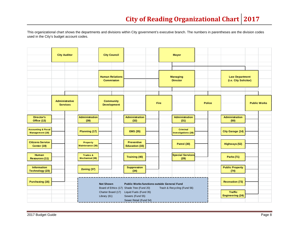<span id="page-8-0"></span>This organizational chart shows the departments and divisions within City government's executive branch. The numbers in parentheses are the division codes used in the City's budget account codes.

|                                                          | <b>City Auditor</b>               |                                     | <b>City Council</b>                                                    |  |                                            |                                                                                                    |             | <b>Mayor</b>                           |                        |               |                                           |                     |
|----------------------------------------------------------|-----------------------------------|-------------------------------------|------------------------------------------------------------------------|--|--------------------------------------------|----------------------------------------------------------------------------------------------------|-------------|----------------------------------------|------------------------|---------------|-------------------------------------------|---------------------|
|                                                          |                                   |                                     |                                                                        |  |                                            |                                                                                                    |             |                                        |                        |               |                                           |                     |
|                                                          |                                   |                                     |                                                                        |  |                                            |                                                                                                    |             |                                        |                        |               |                                           |                     |
|                                                          |                                   |                                     | <b>Human Relations</b>                                                 |  |                                            |                                                                                                    |             | <b>Managing</b>                        |                        |               | <b>Law Department</b>                     |                     |
|                                                          |                                   |                                     | <b>Commission</b>                                                      |  |                                            |                                                                                                    |             | <b>Director</b>                        |                        |               | (i.e. City Solicitor)                     |                     |
|                                                          |                                   |                                     |                                                                        |  |                                            |                                                                                                    |             |                                        |                        |               |                                           |                     |
|                                                          |                                   |                                     |                                                                        |  |                                            |                                                                                                    |             |                                        |                        |               |                                           |                     |
|                                                          | Administrative<br><b>Services</b> |                                     | <b>Community</b><br><b>Development</b>                                 |  |                                            |                                                                                                    | <b>Fire</b> |                                        |                        | <b>Police</b> |                                           | <b>Public Works</b> |
|                                                          |                                   |                                     |                                                                        |  |                                            |                                                                                                    |             |                                        |                        |               |                                           |                     |
| <b>Director's</b>                                        |                                   | <b>Administration</b>               |                                                                        |  | <b>Administration</b>                      |                                                                                                    |             | Administration                         |                        |               | <b>Administration</b>                     |                     |
| Office (13)                                              |                                   | (39)                                |                                                                        |  | (32)                                       |                                                                                                    |             | (31)                                   |                        |               | (50)                                      |                     |
| <b>Accounting &amp; Fiscal</b><br><b>Management (18)</b> |                                   | Planning (17)                       |                                                                        |  | <b>EMS (35)</b>                            |                                                                                                    |             | Criminal<br><b>Investigations (28)</b> |                        |               | <b>City Garage (14)</b>                   |                     |
| <b>Citizens Service</b><br>Center (19)                   |                                   | <b>Property</b><br>Maintenance (36) |                                                                        |  | <b>Preventive</b><br><b>Education (33)</b> |                                                                                                    |             | Patrol (30)                            |                        |               | Highways (52)                             |                     |
| <b>Human</b><br>Resources (11)                           |                                   | Trades &<br><b>Mechanical (38)</b>  |                                                                        |  | <b>Training (40)</b>                       |                                                                                                    |             | <b>Special Services</b><br>(29)        |                        |               | <b>Parks (71)</b>                         |                     |
| <b>Information</b><br><b>Technology (23)</b>             |                                   | Zoning (37)                         |                                                                        |  | <b>Suppression</b><br>(34)                 |                                                                                                    |             |                                        |                        |               | <b>Public Property</b><br>(74)            |                     |
| <b>Purchasing (16)</b>                                   |                                   |                                     | <b>Not Shown</b><br><b>Public Works functions outside General Fund</b> |  |                                            |                                                                                                    |             |                                        | <b>Recreation (73)</b> |               |                                           |                     |
|                                                          |                                   |                                     | Charter Board (17)<br>Library (61)                                     |  | Sewers (Fund 55)<br>Sewer Retail (Fund 54) | Board of Ethics (17) Shade Tree (Fund 20)<br>Trash & Recycling (Fund 56)<br>Liquid Fuels (Fund 35) |             |                                        |                        |               | <b>Traffic</b><br><b>Engineering (24)</b> |                     |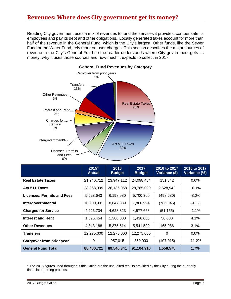## <span id="page-9-0"></span>**Revenues: Where does City government get its money?**

Reading City government uses a mix of revenues to fund the services it provides, compensate its employees and pay its debt and other obligations. Locally generated taxes account for more than half of the revenue in the General Fund, which is the City's largest. Other funds, like the Sewer Fund or the Water Fund, rely more on user charges. This section describes the major sources of revenue in the City's General Fund so the reader understands where City government gets its money, why it uses those sources and how much it expects to collect in 2017.



#### **2015[4](#page-9-1) Actual 2016 Budget 2017 Budget 2016 to 2017 Variance (\$) 2016 to 2017 Variance (%) Real Estate Taxes** 21,246,712 23,947,112 24,098,454 151,342 0.6% **Act 511 Taxes** 28,068,999 26,136,058 28,765,000 2,628,942 10.1% **Licenses, Permits and Fees** 5,523,643 6,198,980 5,700,300 (498,680) -8.0% **Intergovernmental** 10,900,991 8,647,839 7,860,994 (786,845) -9.1% **Charges for Service**  $\begin{array}{|c|c|c|c|c|c|} \hline 4,226,734 & 4,628,823 & 4,577,668 & (51,155) & -1.1\% \hline \end{array}$ **Interest and Rent** 1,395,454 | 1,380,000 | 1,436,000 | 56,000 | 4.1% **Other Revenues** 1 4,843,188 | 5,375,514 | 5,541,500 | 165,986 | 3.1% **Transfers** | 12,275,000 | 12,275,000 | 12,275,000 | 0 | 0.0% **Carryover from prior year**  $\begin{vmatrix} 0 & 957,015 & 850,000 & (107,015) & -11.2\% \end{vmatrix}$ **General Fund Total 88,480,721 89,546,341 91,104,916 1,558,575 1.7%**

 $\overline{\phantom{a}}$ 

<span id="page-9-1"></span><sup>4</sup> The 2015 figures used throughout this Guide are the unaudited results provided by the City during the quarterly financial reporting process.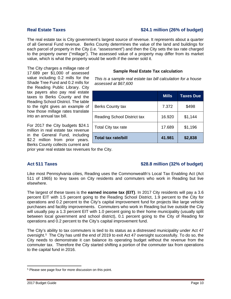### Real Estate Taxes **\$24.1** million (26% of budget)

The real estate tax is City government's largest source of revenue. It represents about a quarter of all General Fund revenue. Berks County determines the value of the land and buildings for each parcel of property in the City (i.e. "assessment") and then the City sets the tax rate charged to the property owner ("millage"). The assessed value of a property may differ from its market value, which is what the property would be worth if the owner sold it.

The City charges a millage rate of 17.689 per \$1,000 of assessed value including 0.2 mills for the Shade Tree Fund and 0.2 mills for the Reading Public Library. City tax payers also pay real estate taxes to Berks County and the Reading School District. The table to the right gives an example of how those millage rates translate into an annual tax bill.

For 2017 the City budgets \$24.1 million in real estate tax revenue in the General Fund, including \$2.2 million from prior years. Berks County collects current and

prior year real estate tax revenues for the City.

### **Sample Real Estate Tax calculation**

*This is a sample real estate tax bill calculation for a house assessed at \$67,600*

|                                    | <b>Mills</b> | Taxes Due |
|------------------------------------|--------------|-----------|
| <b>Berks County tax</b>            | 7.372        | \$498     |
| <b>Reading School District tax</b> | 16.920       | \$1,144   |
| Total City tax rate                | 17.689       | \$1,196   |
| <b>Total tax rate/bill</b>         | 41.981       | \$2,838   |

#### Act 511 Taxes **198.8 and 198.8 and 198.8 and 198.8 and 198.8 and 198.8 and 198.8 and 198.8 and 198.8 and 198.8**

Like most Pennsylvania cities, Reading uses the Commonwealth's Local Tax Enabling Act (Act 511 of 1965) to levy taxes on City residents and commuters who work in Reading but live elsewhere.

The largest of these taxes is the **earned income tax (EIT)**. In 2017 City residents will pay a 3.6 percent EIT with 1.5 percent going to the Reading School District, 1.9 percent to the City for operations and 0.2 percent to the City's capital improvement fund for projects like large vehicle purchases and facility improvements. Commuters who work in Reading but live outside the City will usually pay a 1.3 percent EIT with 1.0 percent going to their home municipality (usually split between local government and school district), 0.1 percent going to the City of Reading for operations and 0.2 percent to the City's capital improvement fund.

The City's ability to tax commuters is tied to its status as a distressed municipality under Act 47 oversight.[5](#page-10-0) The City has until the end of 2019 to exit Act 47 oversight successfully. To do so, the City needs to demonstrate it can balance its operating budget without the revenue from the commuter tax. Therefore the City started shifting a portion of the commuter tax from operations to the capital fund in 2016.

<span id="page-10-0"></span><sup>5</sup> Please see page four for more discussion on this point.  $\overline{\phantom{a}}$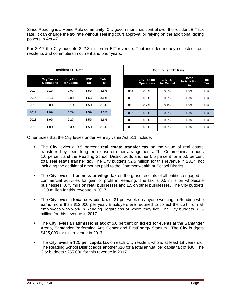Since Reading is a Home Rule community, City government has control over the resident EIT tax rate. It can change the tax rate without seeking court approval or relying on the additional taxing powers in Act 47.

| <b>Resident EIT Rate</b> |                                                                                                                 |         |      |      |  |  |  |  |  |  |
|--------------------------|-----------------------------------------------------------------------------------------------------------------|---------|------|------|--|--|--|--|--|--|
|                          | <b>City Tax for</b><br><b>City Tax</b><br><b>RSD</b><br>Total<br><b>Operations</b><br>for Capital<br>Tax<br>Tax |         |      |      |  |  |  |  |  |  |
| 2014                     | 2.1%                                                                                                            | 0.0%    | 1.5% | 3.6% |  |  |  |  |  |  |
| 2015                     | 2.1%                                                                                                            | $0.0\%$ | 1.5% | 3.6% |  |  |  |  |  |  |
| 2016                     | 2.0%                                                                                                            | 0.1%    | 1.5% | 3.6% |  |  |  |  |  |  |
| 2017                     | 1.9%                                                                                                            | 0.2%    | 1.5% | 3.6% |  |  |  |  |  |  |
| 2018                     | 1.9%                                                                                                            | 0.2%    | 1.5% | 3.6% |  |  |  |  |  |  |
| 2019                     | 1.8%                                                                                                            | 0.3%    | 1.5% | 3.6% |  |  |  |  |  |  |

For 2017 the City budgets \$22.3 million in EIT revenue. That includes money collected from residents and commuters in current and prior years.

| <b>Commuter EIT Rate</b> |                                                                                                                                         |         |      |      |  |  |  |  |  |  |
|--------------------------|-----------------------------------------------------------------------------------------------------------------------------------------|---------|------|------|--|--|--|--|--|--|
|                          | Home<br><b>City Tax for</b><br><b>City Tax</b><br><b>Total</b><br><b>Jurisdiction</b><br>for Capital<br><b>Operations</b><br>Tax<br>Tax |         |      |      |  |  |  |  |  |  |
| 2014                     | 0.3%                                                                                                                                    | $0.0\%$ | 1.0% | 1.3% |  |  |  |  |  |  |
| 2015                     | 0.3%                                                                                                                                    | $0.0\%$ | 1.0% | 1.3% |  |  |  |  |  |  |
| 2016                     | 0.2%                                                                                                                                    | 0.1%    | 1.0% | 1.3% |  |  |  |  |  |  |
| 2017                     | 0.1%                                                                                                                                    | 0.2%    | 1.0% | 1.3% |  |  |  |  |  |  |
| 2018                     | 0.1%                                                                                                                                    | 0.2%    | 1.0% | 1.3% |  |  |  |  |  |  |
| 2019                     | $0.0\%$                                                                                                                                 | 0.3%    | 1.0% | 1.3% |  |  |  |  |  |  |

Other taxes that the City levies under Pennsylvania Act 511 include:

- The City levies a 3.5 percent **real estate transfer tax** on the value of real estate transferred by deed, long-term lease or other arrangements. The Commonwealth adds 1.0 percent and the Reading School District adds another 0.5 percent for a 5.0 percent total real estate transfer tax. The City budgets \$2.5 million for this revenue in 2017, not including the additional amounts paid to the Commonwealth or School District.
- The City levies a **business privilege tax** on the gross receipts of all entities engaged in commercial activities for gain or profit in Reading. The tax is 0.5 mills on wholesale businesses, 0.75 mills on retail businesses and 1.5 on other businesses. The City budgets \$2.0 million for this revenue in 2017.
- The City levies a **local services tax** of \$1 per week on anyone working in Reading who earns more than \$12,000 per year. Employers are required to collect the LST from all employees who work in Reading, regardless of where they live. The City budgets \$1.3 million for this revenue in 2017.
- The City levies an **admissions tax** of 5.0 percent on tickets for events at the Santander Arena, Santander Performing Arts Center and FirstEnergy Stadium. The City budgets \$425,000 for this revenue in 2017.
- The City levies a \$20 **per capita tax** on each City resident who is at least 18 years old. The Reading School District adds another \$10 for a total annual per capita tax of \$30. The City budgets \$255,000 for this revenue in 2017.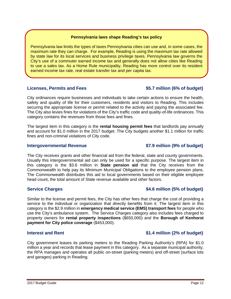### **Pennsylvania laws shape Reading's tax policy**

Pennsylvania law limits the types of taxes Pennsylvania cities can use and, in some cases, the maximum rate they can charge. For example, Reading is using the maximum tax rate allowed by state law for its local services and business privilege taxes. Pennsylvania law governs the City's use of a commuter earned income tax and generally does not allow cities like Reading to use a sales tax. As a Home Rule municipality, Reading has more control over its resident earned income tax rate, real estate transfer tax and per capita tax.

### **Licenses, Permits and Fees \$5.7 million (6% of budget)**

City ordinances require businesses and individuals to take certain actions to ensure the health, safety and quality of life for their customers, residents and visitors to Reading. This includes securing the appropriate license or permit related to the activity and paying the associated fee. The City also levies fines for violations of the City's traffic code and quality-of-life ordinances. This category contains the revenues from those fees and fines.

The largest item in this category is the **rental housing permit fees** that landlords pay annually and account for \$1.0 million in the 2017 budget. The City budgets another \$1.1 million for traffic fines and non-criminal violations of City code.

### **Intergovernmental Revenue \$7.9 million (9% of budget)**

The City receives grants and other financial aid from the federal, state and county governments. Usually this intergovernmental aid can only be used for a specific purpose. The largest item in this category is the \$3.6 million in **State pension aid** that the City receives from the Commonwealth to help pay its Minimum Municipal Obligations to the employee pension plans. The Commonwealth distributes this aid to local governments based on their eligible employee head count, the total amount of State revenue available and other factors.

### **Service Charges \$4.6 million (5% of budget)**

Similar to the license and permit fees, the City has other fees that charge the cost of providing a service to the individual or organization that directly benefits from it. The largest item in this category is the \$2.9 million in **emergency medical service (EMS) transport fees** for people who use the City's ambulance system. The Service Charges category also includes fees charged to property owners for **rental property inspections** (\$650,000) and the **Borough of Kenhorst payment for City police coverage** (\$453,000).

### **Interest and Rent <b>1.4** million (2% of budget)

City government leases its parking meters to the Reading Parking Authority's (RPA) for \$1.0 million a year and records that lease payment in this category. As a separate municipal authority, the RPA manages and operates all public on-street (parking meters) and off-street (surface lots and garages) parking in Reading.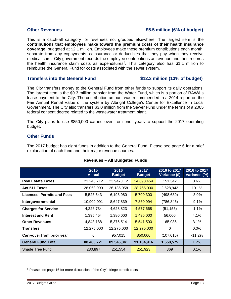### **Other Revenues \$5.5 million (6% of budget)**

This is a catch-all category for revenues not grouped elsewhere. The largest item is the **contributions that employees make toward the premium costs of their health insurance coverage**, budgeted at \$2.1 million. Employees make these premium contributions each month, separate from any copayments, coinsurance or deductibles that they pay when they receive medical care. City government records the employee contributions as revenue and then records the health insurance claim costs as expenditures<sup>6</sup>. This category also has \$1.1 million to reimburse the General Fund for costs associated with the sewer system.

#### **Transfers into the General Fund \$12.3 million (13% of budget)**

The City transfers money to the General Fund from other funds to support its daily operations. The largest item is the \$9.3 million transfer from the Water Fund, which is a portion of RAWA's lease payment to the City. The contribution amount was recommended in a 2014 report on the Fair Annual Rental Value of the system by Albright College's Center for Excellence in Local Government. The City also transfers \$3.0 million from the Sewer Fund under the terms of a 2005 federal consent decree related to the wastewater treatment plant.

The City plans to use \$850,000 carried over from prior years to support the 2017 operating budget.

#### **Other Funds**

The 2017 budget has eight funds in addition to the General Fund. Please see page 6 for a brief explanation of each fund and their major revenue sources.

|                                   | 2015<br><b>Actual</b> | 2016<br><b>Budget</b> | 2017<br><b>Budget</b> | 2016 to 2017<br>Variance (\$) | 2016 to 2017<br>Variance (%) |
|-----------------------------------|-----------------------|-----------------------|-----------------------|-------------------------------|------------------------------|
| <b>Real Estate Taxes</b>          | 21,246,712            | 23,947,112            | 24,098,454            | 151,342                       | 0.6%                         |
| Act 511 Taxes                     | 28,068,999            | 26,136,058            | 28,765,000            | 2,628,942                     | 10.1%                        |
| <b>Licenses, Permits and Fees</b> | 5,523,643             | 6,198,980             | 5,700,300             | (498, 680)                    | $-8.0\%$                     |
| Intergovernmental                 | 10,900,991            | 8,647,839             | 7,860,994             | (786, 845)                    | $-9.1%$                      |
| <b>Charges for Service</b>        | 4,226,734             | 4,628,823             | 4,577,668             | (51, 155)                     | $-1.1\%$                     |
| <b>Interest and Rent</b>          | 1,395,454             | 1,380,000             | 1,436,000             | 56,000                        | 4.1%                         |
| <b>Other Revenues</b>             | 4,843,188             | 5,375,514             | 5,541,500             | 165,986                       | 3.1%                         |
| <b>Transfers</b>                  | 12,275,000            | 12,275,000            | 12,275,000            | 0                             | $0.0\%$                      |
| Carryover from prior year         | $\Omega$              | 957,015               | 850,000               | (107, 015)                    | $-11.2%$                     |
| <b>General Fund Total</b>         | 88,480,721            | 89,546,341            | 91,104,916            | 1,558,575                     | 1.7%                         |
| Shade Tree Fund                   | 280,897               | 251,554               | 251,923               | 369                           | 0.1%                         |

#### **Revenues – All Budgeted Funds**

<span id="page-13-0"></span><sup>&</sup>lt;sup>6</sup> Please see page 16 for more discussion of the City's fringe benefit costs.  $\overline{\phantom{a}}$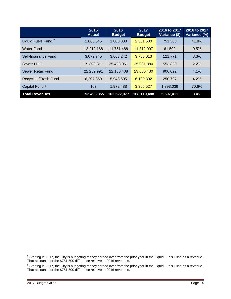|                                | 2015<br><b>Actual</b> | 2016<br><b>Budget</b> | 2017<br><b>Budget</b> | 2016 to 2017<br>Variance (\$) | 2016 to 2017<br>Variance (%) |
|--------------------------------|-----------------------|-----------------------|-----------------------|-------------------------------|------------------------------|
| Liquid Fuels Fund <sup>7</sup> | 1,665,545             | 1,800,000             | 2,551,500             | 751,500                       | 41.8%                        |
| Water Fund                     | 12,210,168            | 11,751,488            | 11,812,997            | 61,509                        | 0.5%                         |
| Self-Insurance Fund            | 3,079,745             | 3,663,242             | 3,785,013             | 121,771                       | 3.3%                         |
| Sewer Fund                     | 19,308,811            | 25,428,051            | 25,981,880            | 553,829                       | 2.2%                         |
| <b>Sewer Retail Fund</b>       | 22,259,991            | 22,160,408            | 23,066,430            | 906,022                       | 4.1%                         |
| Recycling/Trash Fund           | 6,207,869             | 5,948,505             | 6,199,302             | 250,797                       | 4.2%                         |
| Capital Fund <sup>8</sup>      | 107                   | 1,972,488             | 3,365,527             | 1,393,039                     | 70.6%                        |
| <b>Total Revenues</b>          | 153,493,855           | 162,522,077           | 168,119,488           | 5,597,411                     | 3.4%                         |

 $\overline{\phantom{a}}$ 

<span id="page-14-0"></span><sup>&</sup>lt;sup>7</sup> Starting in 2017, the City is budgeting money carried over from the prior year in the Liquid Fuels Fund as a revenue. That accounts for the \$751,500 difference relative to 2016 revenues.

<span id="page-14-1"></span><sup>&</sup>lt;sup>8</sup> Starting in 2017, the City is budgeting money carried over from the prior year in the Liquid Fuels Fund as a revenue. That accounts for the \$751,500 difference relative to 2016 revenues.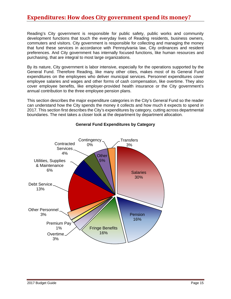## <span id="page-15-0"></span>**Expenditures: How does City government spend its money?**

Reading's City government is responsible for public safety, public works and community development functions that touch the everyday lives of Reading residents, business owners, commuters and visitors. City government is responsible for collecting and managing the money that fund these services in accordance with Pennsylvania law, City ordinances and resident preferences. And City government has internally focused functions, like human resources and purchasing, that are integral to most large organizations.

By its nature, City government is labor intensive, especially for the operations supported by the General Fund. Therefore Reading, like many other cities, makes most of its General Fund expenditures on the employees who deliver municipal services. Personnel expenditures cover employee salaries and wages and other forms of cash compensation, like overtime. They also cover employee benefits, like employer-provided health insurance or the City government's annual contribution to the three employee pension plans.

This section describes the major expenditure categories in the City's General Fund so the reader can understand how the City spends the money it collects and how much it expects to spend in 2017. This section first describes the City's expenditures by category, cutting across departmental boundaries. The next takes a closer look at the department by department allocation.



### **General Fund Expenditures by Category**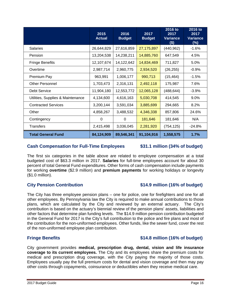| <b>Fringe Benefits</b>                                                                                                                                                                                                                                                                                                                                                                                                                                                                                                   | 12,107,674 | 14,122,642 | 14,834,469 | 711,827    | 5.0%     |  |  |  |  |
|--------------------------------------------------------------------------------------------------------------------------------------------------------------------------------------------------------------------------------------------------------------------------------------------------------------------------------------------------------------------------------------------------------------------------------------------------------------------------------------------------------------------------|------------|------------|------------|------------|----------|--|--|--|--|
| Overtime                                                                                                                                                                                                                                                                                                                                                                                                                                                                                                                 | 2,987,714  | 2,960,775  | 2,934,520  | (26, 255)  | $-0.9%$  |  |  |  |  |
| Premium Pay                                                                                                                                                                                                                                                                                                                                                                                                                                                                                                              | 963,991    | 1,006,177  | 990,713    | (15, 464)  | $-1.5\%$ |  |  |  |  |
| <b>Other Personnel</b>                                                                                                                                                                                                                                                                                                                                                                                                                                                                                                   | 1,703,473  | 2,316,131  | 2,492,118  | 175,987    | 7.6%     |  |  |  |  |
| Debt Service                                                                                                                                                                                                                                                                                                                                                                                                                                                                                                             | 11,904,180 | 12,553,772 | 12,065,128 | (488, 644) | $-3.9%$  |  |  |  |  |
| Utilities, Supplies & Maintenance                                                                                                                                                                                                                                                                                                                                                                                                                                                                                        | 4,134,600  | 4,616,163  | 5,030,708  | 414,545    | $9.0\%$  |  |  |  |  |
| <b>Contracted Services</b>                                                                                                                                                                                                                                                                                                                                                                                                                                                                                               | 3,200,144  | 3,591,034  | 3,885,699  | 294,665    | 8.2%     |  |  |  |  |
| Other                                                                                                                                                                                                                                                                                                                                                                                                                                                                                                                    | 4,858,267  | 3,488,532  | 4,346,338  | 857,806    | 24.6%    |  |  |  |  |
| Contingency                                                                                                                                                                                                                                                                                                                                                                                                                                                                                                              | 0          | 0          | 181,646    | 181,646    | N/A      |  |  |  |  |
| <b>Transfers</b>                                                                                                                                                                                                                                                                                                                                                                                                                                                                                                         | 2,415,498  | 3,036,045  | 2,281,920  | (754, 125) | $-24.8%$ |  |  |  |  |
| <b>Total General Fund</b>                                                                                                                                                                                                                                                                                                                                                                                                                                                                                                | 84,124,909 | 89,546,341 | 91,104,916 | 1,558,575  | 1.7%     |  |  |  |  |
| <b>Cash Compensation for Full-Time Employees</b><br>\$31.1 million (34% of budget)<br>The first six categories in the table above are related to employee compensation at a total<br>budgeted cost of \$63.3 million in 2017. <b>Salaries</b> for full-time employees account for about 30<br>percent of total General Fund expenditures. Other forms of cash compensation include payments<br>for working overtime (\$2.9 million) and premium payments for working holidays or longevity<br>$($1.0 \text{ million})$ . |            |            |            |            |          |  |  |  |  |

**2015 Actual**

**2016 Budget**

Salaries 26,644,829 27,616,859 27,175,897 (440,962) -1.6% Pension 13,204,538 | 14,238,211 | 14,885,760 | 647,549 | 4.5%

**2017 Budget**

**2016 to 2017 Variance (\$)**

**2016 to 2017 Variance (%)**

### **City Pension Contribution \$14.9 million (16% of budget)**

The City has three employee pension plans – one for police, one for firefighters and one for all other employees. By Pennsylvania law the City is required to make annual contributions to those plans, which are calculated by the City and reviewed by an external actuary. The City's contribution is based on the actuary's biennial review of the pension plans' assets, liabilities and other factors that determine plan funding levels. The \$14.9 million pension contribution budgeted in the General Fund for 2017 is the City's full contribution to the police and fire plans and most of the contribution for the non-uniformed employees. Other funds, like the sewer fund, cover the rest of the non-uniformed employee plan contribution.

### **Fringe Benefits \$14.8 million (16% of budget)**

City government provides **medical, prescription drug, dental, vision and life insurance coverage to its current employees.** The City and its employees share the premium costs for medical and prescription drug coverage, with the City paying the majority of those costs. Employees usually pay the full premium costs for dental and vision coverage and then may pay other costs through copayments, coinsurance or deductibles when they receive medical care.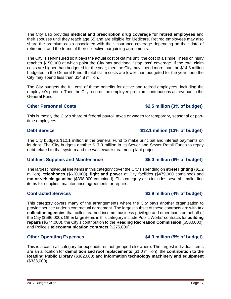The City also provides **medical and prescription drug coverage for retired employees** and their spouses until they reach age 65 and are eligible for Medicare. Retired employees may also share the premium costs associated with their insurance coverage depending on their date of retirement and the terms of their collective bargaining agreements.

The City is self-insured so it pays the actual cost of claims until the cost of a single illness or injury reaches \$150,000 at which point the City has additional "stop loss" coverage. If the total claim costs are higher than budgeted for the year, then the City may spend more than the \$14.8 million budgeted in the General Fund. If total claim costs are lower than budgeted for the year, then the City may spend less than \$14.8 million.

The City budgets the full cost of these benefits for active and retired employees, including the employee's portion. Then the City records the employee premium contributions as revenue in the General Fund.

#### **Other Personnel Costs \$2.5 million (3% of budget)**

This is mostly the City's share of federal payroll taxes or wages for temporary, seasonal or parttime employees.

#### **Debt Service budget**) **and Service <b>312.1 million (13% of budget)**

The City budgets \$12.1 million in the General Fund to make principal and interest payments on its debt. The City budgets another \$17.9 million in its Sewer and Sewer Retail Funds to repay debt related to that system and the wastewater treatment plant project.

### **Utilities, Supplies and Maintenance \$5.0 million (6% of budget)**

The largest individual line items in this category cover the City's spending on **street lighting** (\$1.2 million), **telephones** (\$620,000), **light and power** at City facilities (\$479,000 combined) and **motor vehicle gasoline** (\$398,000 combined). This category also includes several smaller line items for supplies, maintenance agreements or repairs.

### **Contracted Services \$3.9 million (4% of budget)**

This category covers many of the arrangements where the City pays another organization to provide service under a contractual agreement. The largest subset of these contracts are with **tax collection agencies** that collect earned income, business privilege and other taxes on behalf of the City (\$596,000). Other large items in this category include Public Works' contracts for **building repairs** (\$574,000), the City's contribution to the **Reading Recreation Commission** (\$500,000), and Police's **telecommunication contracts** (\$275,000).

### **Other Operating Expenses 64.3 million (5% of budget)**

This is a catch-all category for expenditures not grouped elsewhere. The largest individual items are an allocation for **demolition and roof replacements** (\$1.0 million), the **contribution to the Reading Public Library** (\$362,000) and **information technology machinery and equipment** (\$338,000).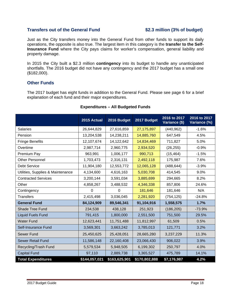#### **Transfers out of the General Fund \$2.3 million (3% of budget)**

Just as the City transfers money into the General Fund from other funds to support its daily operations, the opposite is also true. The largest item in this category is the **transfer to the Self-Insurance Fund** where the City pays claims for worker's compensation, general liability and property damage.

In 2015 the City built a \$2.3 million **contingency** into its budget to handle any unanticipated shortfalls. The 2016 budget did not have any contingency and the 2017 budget has a small one (\$182,000).

#### **Other Funds**

The 2017 budget has eight funds in addition to the General Fund. Please see page 6 for a brief explanation of each fund and their major expenditures.

|                                   | 2015 Actual    | 2016 Budget    | 2017 Budget   | 2016 to 2017<br>Variance (\$) | 2016 to 2017<br>Variance (%) |
|-----------------------------------|----------------|----------------|---------------|-------------------------------|------------------------------|
| <b>Salaries</b>                   | 26,644,829     | 27,616,859     | 27,175,897    | (440, 962)                    | $-1.6%$                      |
| Pension                           | 13,204,538     | 14,238,211     | 14,885,760    | 647,549                       | 4.5%                         |
| <b>Fringe Benefits</b>            | 12,107,674     | 14,122,642     | 14,834,469    | 711,827                       | 5.0%                         |
| Overtime                          | 2,987,714      | 2,960,775      | 2,934,520     | (26, 255)                     | $-0.9%$                      |
| Premium Pay                       | 963,991        | 1,006,177      | 990,713       | (15, 464)                     | $-1.5%$                      |
| Other Personnel                   | 1,703,473      | 2,316,131      | 2,492,118     | 175,987                       | 7.6%                         |
| <b>Debt Service</b>               | 11,904,180     | 12,553,772     | 12,065,128    | (488, 644)                    | $-3.9%$                      |
| Utilities, Supplies & Maintenance | 4,134,600      | 4,616,163      | 5,030,708     | 414,545                       | 9.0%                         |
| <b>Contracted Services</b>        | 3,200,144      | 3,591,034      | 3,885,699     | 294,665                       | 8.2%                         |
| Other                             | 4,858,267      | 3,488,532      | 4,346,338     | 857,806                       | 24.6%                        |
| Contingency                       | $\overline{0}$ | $\overline{0}$ | 181,646       | 181,646                       | N/A                          |
| <b>Transfers</b>                  | 2,415,498      | 3,036,045      | 2,281,920     | (754, 125)                    | $-24.8%$                     |
| <b>General Fund</b>               | 84,124,909     | 89,546,341     | 91,104,916    | 1,558,575                     | 1.7%                         |
| Shade Tree Fund                   | 234,538        | 438,128        | 251,923       | (186, 205)                    | $-73.9%$                     |
| <b>Liquid Fuels Fund</b>          | 791,415        | 1,800,000      | 2,551,500     | 751,500                       | 29.5%                        |
| <b>Water Fund</b>                 | 12,623,441     | 11,751,488     | 11,812,997    | 61,509                        | 0.5%                         |
| Self-Insurance Fund               | 3,569,301      | 3,663,242      | 3,785,013     | 121,771                       | 3.2%                         |
| Sewer Fund                        | 25,450,625     | 25,428,051     | 28,665,280    | 3,237,229                     | 11.3%                        |
| Sewer Retail Fund                 | 11,586,148     | 22,160,408     | 23,066,430    | 906,022                       | 3.9%                         |
| Recycling/Trash Fund              | 5,579,534      | 5,948,505      | 6,199,302     | 250,797                       | 4.0%                         |
| <b>Capital Fund</b>               | 97,110         | 2,889,738      | 3,365,527     | 475,789                       | 14.1%                        |
| <b>Total Expenditures</b>         | \$144,057,021  | \$163,625,901  | \$170,802,888 | \$7,176,987                   | 4.2%                         |

### **Expenditures – All Budgeted Funds**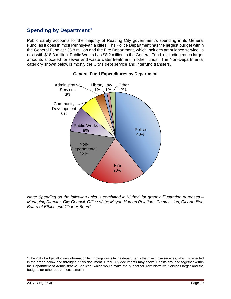## <span id="page-19-0"></span>**Spending by Department[9](#page-19-1)**

Public safety accounts for the majority of Reading City government's spending in its General Fund, as it does in most Pennsylvania cities. The Police Department has the largest budget within the General Fund at \$35.8 million and the Fire Department, which includes ambulance service, is next with \$18.3 million. Public Works has \$8.2 million in the General Fund, excluding much larger amounts allocated for sewer and waste water treatment in other funds. The Non-Departmental category shown below is mostly the City's debt service and interfund transfers.



#### **General Fund Expenditures by Department**

*Note: Spending on the following units is combined in "Other" for graphic illustration purposes – Managing Director, City Council, Office of the Mayor, Human Relations Commission, City Auditor, Board of Ethics and Charter Board.*

 $\overline{\phantom{a}}$ 

<span id="page-19-1"></span><sup>9</sup> The 2017 budget allocates information technology costs to the departments that use those services, which is reflected in the graph below and throughout this document. Other City documents may show IT costs grouped together within the Department of Administrative Services, which would make the budget for Administrative Services larger and the budgets for other departments smaller.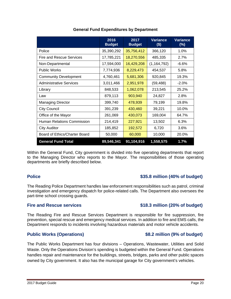#### **General Fund Expenditures by Department 2016 Budget 2017 Budget Variance**

<span id="page-20-0"></span>Police 20 1.0% 35,390,292 35,756,412 366,120 1.0% Fire and Rescue Services  $17,785,221$   $18,270,556$  485,335 2.7% Non-Departmental 17,594,000 16,429,208 (1,164,792) -6.6% Public Works **7,774,936 8,229,473** 454,537 **5.8%** Community Development 14,760,461 5,681,306 920,845 19.3% Administrative Services 1 3,011,466 2,951,978 (59,488) -2.0% Library 6.1 (1995) 1948,533 1,062,078 213,545 25.2%

| <b>General Fund Total</b>     | 89,546,341 | 91,104,916 | 1,558,575 | 1.7%  |
|-------------------------------|------------|------------|-----------|-------|
| Board of Ethics/Charter Board | 50,000     | 60,000     | 10,000    | 20.0% |
| <b>City Auditor</b>           | 185,852    | 192,572    | 6,720     | 3.6%  |
| Human Relations Commission    | 214,419    | 227,921    | 13,502    | 6.3%  |
| Office of the Mayor           | 261,069    | 430,073    | 169,004   | 64.7% |
| <b>City Council</b>           | 391,239    | 430,460    | 39,221    | 10.0% |
| <b>Managing Director</b>      | 399,740    | 478,939    | 79,199    | 19.8% |
| Law                           | 879,113    | 903,940    | 24,827    | 2.8%  |

Within the General Fund, City government is divided into five operating departments that report to the Managing Director who reports to the Mayor. The responsibilities of those operating departments are briefly described below.

### **Police \$35.8 million (40% of budget)**

The Reading Police Department handles law enforcement responsibilities such as patrol, criminal investigation and emergency dispatch for police-related calls. The Department also oversees the part-time school crossing guards.

The Reading Fire and Rescue Services Department is responsible for fire suppression, fire prevention, special rescue and emergency medical services. In addition to fire and EMS calls, the Department responds to incidents involving hazardous materials and motor vehicle accidents.

### **Public Works (Operations) \$8.2 million (9% of budget)**

The Public Works Department has four divisions – Operations, Wastewater, Utilities and Solid Waste. Only the Operations Division's spending is budgeted within the General Fund. Operations handles repair and maintenance for the buildings, streets, bridges, parks and other public spaces owned by City government. It also has the municipal garage for City government's vehicles.

### Fire and Rescue services **\$18.3** million (20% of budget)

**(\$)**

**Variance (%)**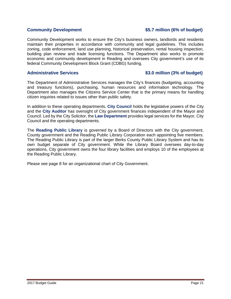### **Community Development \$5.7 million (6% of budget)**

Community Development works to ensure the City's business owners, landlords and residents maintain their properties in accordance with community and legal guidelines. This includes zoning, code enforcement, land use planning, historical preservation, rental housing inspection, building plan review and trade licensing functions. The Department also works to promote economic and community development in Reading and oversees City government's use of its federal Community Development Block Grant (CDBG) funding.

#### Administrative Services **6.1 and 53.0 million (3% of budget)**

The Department of Administrative Services manages the City's finances (budgeting, accounting and treasury functions), purchasing, human resources and information technology. The Department also manages the Citizens Service Center that is the primary means for handling citizen inquiries related to issues other than public safety.

In addition to these operating departments, **City Council** holds the legislative powers of the City and the **City Auditor** has oversight of City government finances independent of the Mayor and Council. Led by the City Solicitor, the **Law Department** provides legal services for the Mayor, City Council and the operating departments.

The **Reading Public Library** is governed by a Board of Directors with the City government, County government and the Reading Public Library Corporation each appointing five members. The Reading Public Library is part of the larger Berks County Public Library System and has its own budget separate of City government. While the Library Board oversees day-to-day operations, City government owns the four library facilities and employs 10 of the employees at the Reading Public Library.

Please see page 8 for an organizational chart of City Government.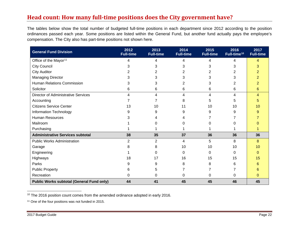## <span id="page-22-2"></span><span id="page-22-1"></span><span id="page-22-0"></span>**Head count: How many full-time positions does the City government have?**

The tables below show the total number of budgeted full-time positions in each department since 2012 according to the position ordinances passed each year. Some positions are listed within the General Fund, but another fund actually pays the employee's compensation. The City also has part-time positions not shown here.

| <b>General Fund Division</b>                     | 2012<br><b>Full-time</b> | 2013<br><b>Full-time</b> | 2014<br><b>Full-time</b> | 2015<br><b>Full-time</b> | 2016<br>Full-time <sup>10</sup> | 2017<br><b>Full-time</b> |
|--------------------------------------------------|--------------------------|--------------------------|--------------------------|--------------------------|---------------------------------|--------------------------|
| Office of the Mayor <sup>11</sup>                | 4                        | 4                        | 4                        | 4                        | 4                               | 4                        |
| <b>City Council</b>                              | 3                        | 3                        | 3                        | 3                        | 3                               | 3                        |
| <b>City Auditor</b>                              | 2                        |                          | 2                        |                          | 2                               |                          |
| <b>Managing Director</b>                         | 3                        | 3                        | 3                        | 3                        | 3                               |                          |
| Human Relations Commission                       | 3                        | 3                        | 2                        | 3                        | 2                               |                          |
| Solicitor                                        | 6                        | 6                        | 6                        | 6                        | 6                               | 6                        |
| <b>Director of Administrative Services</b>       | 4                        | 4                        | 4                        | 4                        | 4                               | 4                        |
| Accounting                                       |                          | 7                        | 8                        | 5                        | 5                               |                          |
| <b>Citizens Service Center</b>                   | 13                       | 10                       | 11                       | 10                       | 10                              | 10                       |
| Information Technology                           | 9                        | 9                        | 9                        | 9                        | 9                               |                          |
| <b>Human Resources</b>                           | 3                        |                          |                          |                          |                                 |                          |
| Mailroom                                         |                          |                          | O                        | O                        |                                 |                          |
| Purchasing                                       |                          |                          |                          |                          |                                 |                          |
| <b>Administrative Services subtotal</b>          | 38                       | 35                       | 37                       | 36                       | 36                              | 36                       |
| <b>Public Works Administration</b>               | $\overline{2}$           | $\overline{2}$           | 4                        | 5                        | 8                               | 8                        |
| Garage                                           | 8                        | 8                        | 10                       | 10                       | 10                              | 10                       |
| Engineering                                      |                          | 0                        | 0                        | 0                        | 0                               | 0                        |
| Highways                                         | 18                       | 17                       | 16                       | 15                       | 15                              | 15                       |
| Parks                                            | 9                        | 9                        | 8                        | 8                        | 6                               | 6                        |
| <b>Public Property</b>                           | 6                        | 5                        |                          |                          |                                 | 6                        |
| Recreation                                       | 0                        | 0                        | 0                        | 0                        | 0                               | 0                        |
| <b>Public Works subtotal (General Fund only)</b> | 44                       | 41                       | 45                       | 45                       | 46                              | 45                       |

<sup>10</sup> The 2016 position count comes from the amended ordinance adopted in early 2016.  $\overline{\phantom{a}}$ 

<sup>11</sup> One of the four positions was not funded in 2015.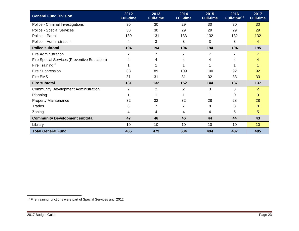<span id="page-23-0"></span>

| <b>General Fund Division</b>                 | 2012<br><b>Full-time</b> | 2013<br><b>Full-time</b> | 2014<br><b>Full-time</b> | 2015<br><b>Full-time</b> | 2016<br>Full-time <sup>10</sup> | 2017<br><b>Full-time</b> |
|----------------------------------------------|--------------------------|--------------------------|--------------------------|--------------------------|---------------------------------|--------------------------|
| Police - Criminal Investigations             | 30                       | 30                       | 29                       | 30                       | 30                              | 30                       |
| Police - Special Services                    | 30                       | 30                       | 29                       | 29                       | 29                              | 29                       |
| Police - Patrol                              | 130                      | 131                      | 133                      | 132                      | 132                             | 132                      |
| Police - Administration                      | 4                        | 3                        | 3                        | 3                        | 3                               | 4                        |
| <b>Police subtotal</b>                       | 194                      | 194                      | 194                      | 194                      | 194                             | 195                      |
| <b>Fire Administration</b>                   | 7                        | 7                        | $\overline{7}$           | 7                        | $\overline{7}$                  | $\overline{7}$           |
| Fire Special Services (Preventive Education) | 4                        | 4                        | 4                        | 4                        | 4                               | 4                        |
| Fire Training <sup>12</sup>                  |                          |                          |                          |                          |                                 |                          |
| Fire Suppression                             | 88                       | 89                       | 109                      | 100                      | 92                              | 92                       |
| Fire EMS                                     | 31                       | 31                       | 31                       | 32                       | 33                              | 33                       |
| <b>Fire subtotal</b>                         | 131                      | 132                      | 152                      | 144                      | 137                             | 137                      |
| <b>Community Development Administration</b>  | $\overline{2}$           | $\overline{2}$           | $\overline{2}$           | 3                        | 3                               | $\overline{2}$           |
| Planning                                     |                          |                          |                          |                          | 0                               | $\Omega$                 |
| <b>Property Maintenance</b>                  | 32                       | 32                       | 32                       | 28                       | 28                              | 28                       |
| <b>Trades</b>                                | 8                        | 7                        | 7                        | 8                        | 8                               | 8                        |
| Zoning                                       | 4                        | 4                        | 4                        | 4                        | 5                               | 5                        |
| <b>Community Development subtotal</b>        | 47                       | 46                       | 46                       | 44                       | 44                              | 43                       |
| Library                                      | 10                       | 10                       | 10                       | 10                       | 10                              | 10                       |
| <b>Total General Fund</b>                    | 485                      | 479                      | 504                      | 494                      | 487                             | 485                      |

 $12$  Fire training functions were part of Special Services until 2012.  $\overline{\phantom{a}}$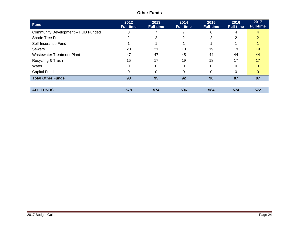| <b>Fund</b>                        | 2012<br><b>Full-time</b> | 2013<br><b>Full-time</b> | 2014<br><b>Full-time</b> | 2015<br><b>Full-time</b> | 2016<br><b>Full-time</b> | 2017<br><b>Full-time</b> |
|------------------------------------|--------------------------|--------------------------|--------------------------|--------------------------|--------------------------|--------------------------|
| Community Development - HUD Funded | 8                        |                          |                          | 6                        | 4                        | 4                        |
| Shade Tree Fund                    | 2                        | $\overline{2}$           | 2                        | $\overline{2}$           | 2                        | $\overline{2}$           |
| Self-Insurance Fund                |                          |                          |                          |                          |                          |                          |
| <b>Sewers</b>                      | 20                       | 21                       | 18                       | 19                       | 19                       | 19                       |
| Wastewater Treatment Plant         | 47                       | 47                       | 45                       | 44                       | 44                       | 44                       |
| Recycling & Trash                  | 15                       | 17                       | 19                       | 18                       | 17                       | 17                       |
| Water                              |                          | 0                        | 0                        | 0                        | 0                        | 0                        |
| Capital Fund                       |                          | $\Omega$                 | 0                        | 0                        | 0                        | $\Omega$                 |
| <b>Total Other Funds</b>           | 93                       | 95                       | 92                       | 90                       | 87                       | 87                       |
|                                    |                          |                          |                          |                          |                          |                          |
| <b>ALL FUNDS</b>                   | 578                      | 574                      | 596                      | 584                      | 574                      | 572                      |

### **Other Funds**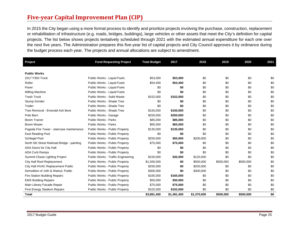## <span id="page-25-0"></span>**Five-year Capital Improvement Plan (CIP)**

In 2015 the City began using a more formal process to identify and prioritize projects involving the purchase, construction, replacement or rehabilitation of infrastructure (e.g. roads, bridges, buildings), large vehicles or other assets that meet the City's definition for capital projects. The list below shows projects tentatively scheduled through 2021 with the estimated annual expenditure for each one over the next five years. The Administration prepares this five-year list of capital projects and City Council approves it by ordinance during the budget process each year. The projects and annual allocations are subject to amendment.

| Project                                     | <b>Fund Requesting Project</b>     | <b>Total Budget</b> | 2017        | 2018        | 2019      | 2020      | 2021 |
|---------------------------------------------|------------------------------------|---------------------|-------------|-------------|-----------|-----------|------|
|                                             |                                    |                     |             |             |           |           |      |
| <b>Public Works</b>                         |                                    |                     |             |             |           |           |      |
| 2017 F350 Truck                             | Public Works - Liquid Fuels        | \$53,000            | \$53,000    | \$0         | \$0       | \$0       | \$0  |
| Roller                                      | Public Works - Liquid Fuels        | \$54,400            | \$54,400    | \$0         | \$0       | \$0       | \$0  |
| Paver                                       | Public Works - Liquid Fuels        | \$0                 | \$0         | \$0         | \$0       | \$0       | \$0  |
| Milling Machine                             | Public Works - Liquid Fuels        | \$0                 | \$0         | \$0         | \$0       | \$0       | \$0  |
| <b>Trash Truck</b>                          | Public Works - Solid Waste         | \$152,000           | \$152,000   | \$0         | \$0       | \$0       | \$0  |
| Stump Grinder                               | Public Works - Shade Tree          | \$0                 | \$0         | \$0         | \$0       | \$0       | \$0  |
| Trailer                                     | Public Works - Shade Tree          | \$0                 | \$0         | \$0         | \$0       | \$0       | \$0  |
| Tree Removal - Emerald Ash Bore             | Public Works - Shade Tree          | \$150,000           | \$150,000   | \$0         | \$0       | \$0       | \$0  |
| Pole Barn                                   | <b>Public Works - Garage</b>       | \$250,000           | \$250,000   | \$0         | \$0       | \$0       | \$0  |
| <b>Boom Tractor</b>                         | <b>Public Works - Parks</b>        | \$85,000            | \$85,000    | \$0         | \$0       | \$0       | \$0  |
| <b>Boom Mower</b>                           | Public Works - Parks               | \$65,000            | \$65,000    | \$0         | \$0       | \$0       | \$0  |
| Pagoda Fire Tower - staircase maintenance   | Public Works - Public Property     | \$135,000           | \$135,000   | \$0         | \$0       | \$0       | \$0  |
| <b>East Reading Pool</b>                    | Public Works - Public Property     | \$0                 | \$0         | \$0         | \$0       | \$0       | \$0  |
| Schlegel Pool                               | Public Works - Public Property     | \$250,000           | \$50,000    | \$200,000   | \$0       | \$0       | \$0  |
| North 5th Street Railroad Bridge - painting | Public Works - Public Property     | \$75,000            | \$75,000    | \$0         | \$0       | \$0       | \$0  |
| ADA Doors for City Hall                     | Public Works - Public Property     | \$0                 | \$0         | \$0         | \$0       | \$0       | \$0  |
| <b>ADA Curb Ramps</b>                       | Public Works - Public Property     | \$0                 | \$0         | \$0         | \$0       | \$0       | \$0  |
| Summit Chase Lighting Project               | Public Works - Traffic Engineering | \$150,000           | \$30,000    | \$120,000   | \$0       | \$0       | \$0  |
| City Hall Roof Replacement                  | Public Works - Public Property     | \$1,500,000         | \$0         | \$500,000   | \$500,000 | \$500,000 | \$0  |
| City Hall HVAC Replacement Public           | Public Works - Public Property     | \$250,000           | \$0         | \$250,000   | \$0       | \$0       | \$0  |
| Demolition of 14th & Walnut: Public         | Public Works - Public Property     | \$300,000           | \$0         | \$300,000   | \$0       | \$0       | \$0  |
| <b>Fire Station Building Repairs</b>        | Public Works - Public Property     | \$165,000           | \$165,000   | \$0         | \$0       | \$0       | \$0  |
| <b>EMS Building Repairs</b>                 | Public Works - Public Property     | \$50,000            | \$50,000    | \$0         | \$0       | \$0       | \$0  |
| Main Library Facade Repair                  | Public Works - Public Property     | \$75,000            | \$75,000    | \$0         | \$0       | \$0       | \$0  |
| <b>First Energy Stadium Repairs</b>         | Public Works - Public Property     | \$102,000           | \$102,000   | \$0         | \$0       | \$0       | \$0  |
| Total                                       |                                    | \$3,861,400         | \$1,491,400 | \$1,370,000 | \$500,000 | \$500,000 | \$0  |